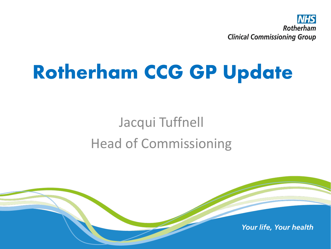

# Rotherham CCG GP Update

### Jacqui Tuffnell Head of Commissioning

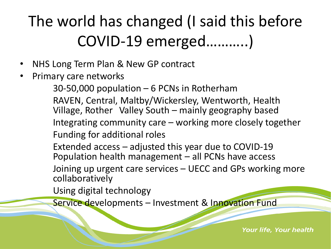### The world has changed (I said this before COVID-19 emerged………..)

- NHS Long Term Plan & New GP contract
- Primary care networks

30-50,000 population – 6 PCNs in Rotherham

RAVEN, Central, Maltby/Wickersley, Wentworth, Health Village, Rother Valley South – mainly geography based Integrating community care – working more closely together Funding for additional roles

Extended access – adjusted this year due to COVID-19 Population health management – all PCNs have access

Joining up urgent care services – UECC and GPs working more collaboratively

Using digital technology

Service developments – Investment & Innovation Fund

**Your life, Your health**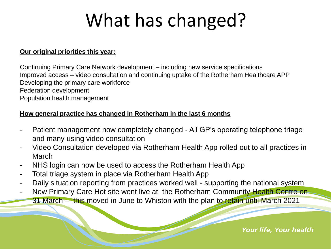# What has changed?

#### **Our original priorities this year:**

Continuing Primary Care Network development – including new service specifications Improved access – video consultation and continuing uptake of the Rotherham Healthcare APP Developing the primary care workforce Federation development Population health management

#### **How general practice has changed in Rotherham in the last 6 months**

- Patient management now completely changed All GP's operating telephone triage and many using video consultation
- Video Consultation developed via Rotherham Health App rolled out to all practices in March
- NHS login can now be used to access the Rotherham Health App
- Total triage system in place via Rotherham Health App
- Daily situation reporting from practices worked well supporting the national system
- New Primary Care Hot site went live at the Rotherham Community Health Centre on-31 March – this moved in June to Whiston with the plan to retain until March 2021

Your life, Your health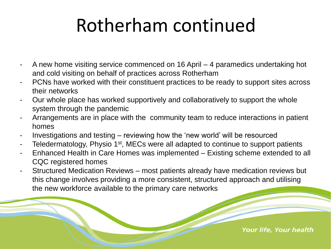## Rotherham continued

- A new home visiting service commenced on 16 April 4 paramedics undertaking hot and cold visiting on behalf of practices across Rotherham
- PCNs have worked with their constituent practices to be ready to support sites across their networks
- Our whole place has worked supportively and collaboratively to support the whole system through the pandemic
- Arrangements are in place with the community team to reduce interactions in patient homes
- Investigations and testing reviewing how the 'new world' will be resourced
- Teledermatology, Physio 1<sup>st</sup>, MECs were all adapted to continue to support patients
- Enhanced Health in Care Homes was implemented Existing scheme extended to all CQC registered homes
- Structured Medication Reviews most patients already have medication reviews but this change involves providing a more consistent, structured approach and utilising the new workforce available to the primary care networks

**Your life, Your health**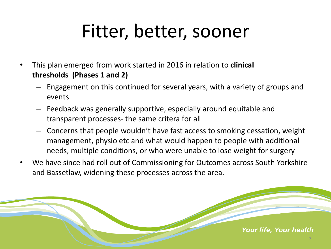### Fitter, better, sooner

- This plan emerged from work started in 2016 in relation to **clinical thresholds (Phases 1 and 2)**
	- Engagement on this continued for several years, with a variety of groups and events
	- Feedback was generally supportive, especially around equitable and transparent processes- the same critera for all
	- Concerns that people wouldn't have fast access to smoking cessation, weight management, physio etc and what would happen to people with additional needs, multiple conditions, or who were unable to lose weight for surgery
- We have since had roll out of Commissioning for Outcomes across South Yorkshire and Bassetlaw, widening these processes across the area.